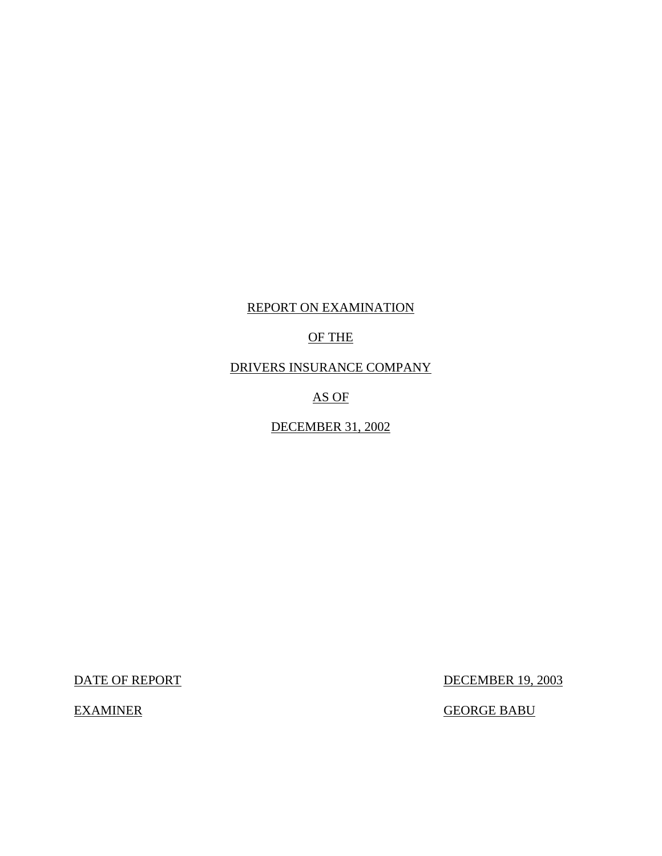## REPORT ON EXAMINATION

## OF THE

DRIVERS INSURANCE COMPANY

AS OF

DECEMBER 31, 2002

DATE OF REPORT DECEMBER 19, 2003

EXAMINER GEORGE BABU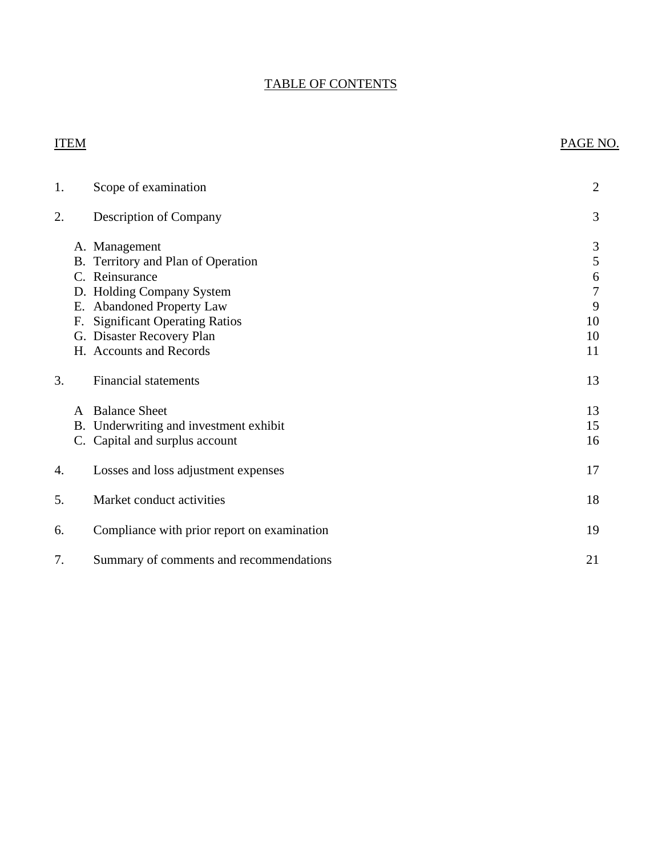## TABLE OF CONTENTS

## ITEM PAGE NO.

| 1. |              | Scope of examination                                                                                                                                                                                                           | $\overline{2}$                                       |
|----|--------------|--------------------------------------------------------------------------------------------------------------------------------------------------------------------------------------------------------------------------------|------------------------------------------------------|
| 2. |              | <b>Description of Company</b>                                                                                                                                                                                                  | 3                                                    |
|    | F.           | A. Management<br>B. Territory and Plan of Operation<br>C. Reinsurance<br>D. Holding Company System<br>E. Abandoned Property Law<br><b>Significant Operating Ratios</b><br>G. Disaster Recovery Plan<br>H. Accounts and Records | 3<br>5<br>6<br>$\overline{7}$<br>9<br>10<br>10<br>11 |
| 3. |              | <b>Financial statements</b>                                                                                                                                                                                                    | 13                                                   |
|    | $\mathsf{A}$ | <b>Balance Sheet</b><br>B. Underwriting and investment exhibit<br>C. Capital and surplus account                                                                                                                               | 13<br>15<br>16                                       |
| 4. |              | Losses and loss adjustment expenses                                                                                                                                                                                            | 17                                                   |
| 5. |              | Market conduct activities                                                                                                                                                                                                      | 18                                                   |
| 6. |              | Compliance with prior report on examination                                                                                                                                                                                    | 19                                                   |
| 7. |              | Summary of comments and recommendations                                                                                                                                                                                        | 21                                                   |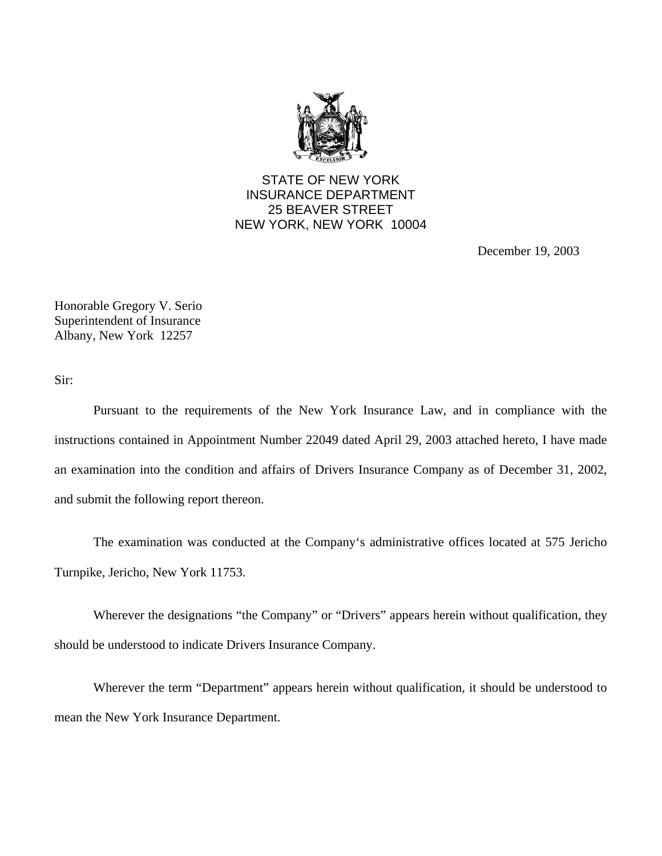

## STATE OF NEW YORK INSURANCE DEPARTMENT 25 BEAVER STREET NEW YORK, NEW YORK 10004

December 19, 2003

Honorable Gregory V. Serio Superintendent of Insurance Albany, New York 12257

Sir:

Pursuant to the requirements of the New York Insurance Law, and in compliance with the instructions contained in Appointment Number 22049 dated April 29, 2003 attached hereto, I have made an examination into the condition and affairs of Drivers Insurance Company as of December 31, 2002, and submit the following report thereon.

The examination was conducted at the Company's administrative offices located at 575 Jericho Turnpike, Jericho, New York 11753.

Wherever the designations "the Company" or "Drivers" appears herein without qualification, they should be understood to indicate Drivers Insurance Company.

Wherever the term "Department" appears herein without qualification, it should be understood to mean the New York Insurance Department.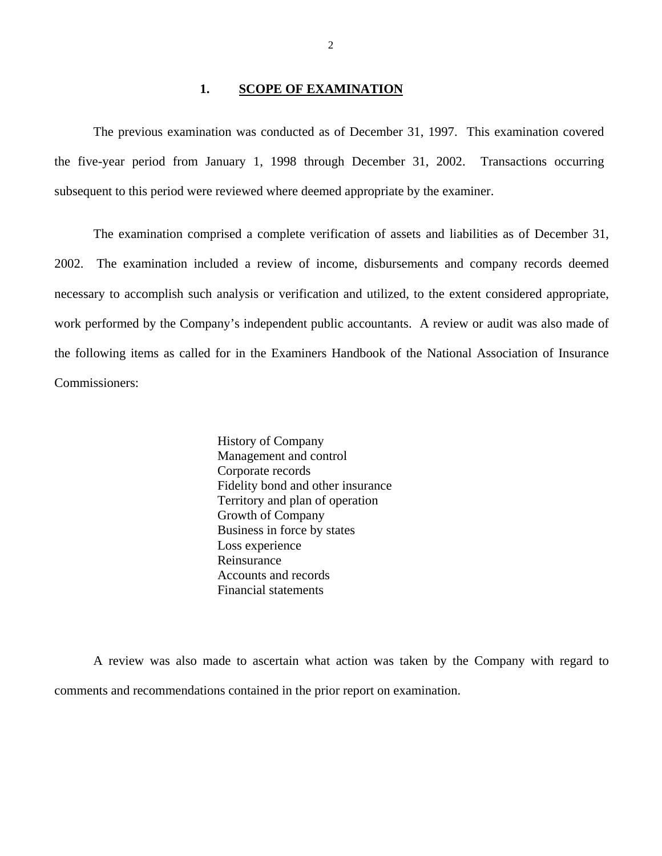### 1. **SCOPE OF EXAMINATION**

<span id="page-3-0"></span>The previous examination was conducted as of December 31, 1997. This examination covered the five-year period from January 1, 1998 through December 31, 2002. Transactions occurring subsequent to this period were reviewed where deemed appropriate by the examiner.

The examination comprised a complete verification of assets and liabilities as of December 31, 2002. The examination included a review of income, disbursements and company records deemed necessary to accomplish such analysis or verification and utilized, to the extent considered appropriate, work performed by the Company's independent public accountants. A review or audit was also made of the following items as called for in the Examiners Handbook of the National Association of Insurance Commissioners:

> History of Company Management and control Corporate records Fidelity bond and other insurance Territory and plan of operation Growth of Company Business in force by states Loss experience Reinsurance Accounts and records Financial statements

A review was also made to ascertain what action was taken by the Company with regard to comments and recommendations contained in the prior report on examination.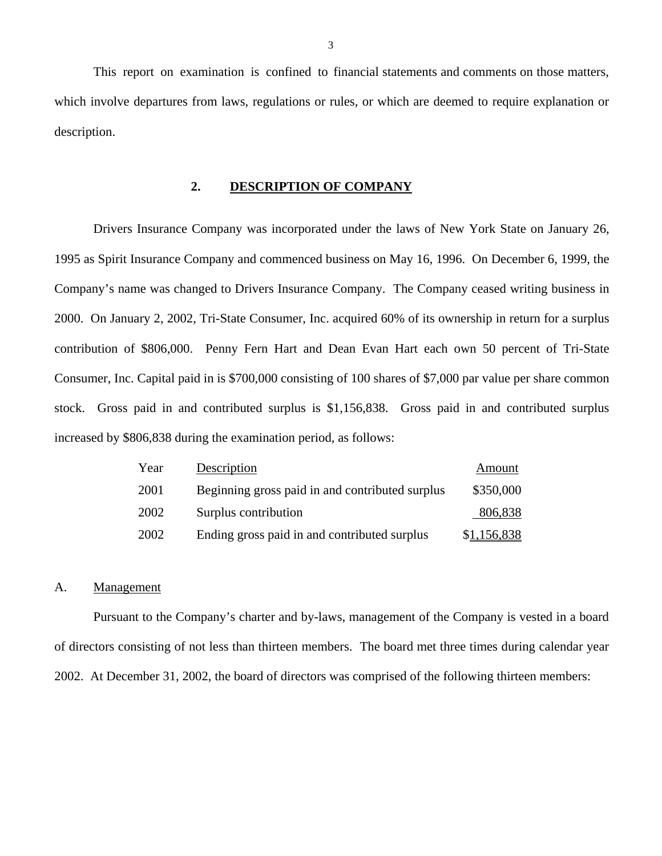This report on examination is confined to financial statements and comments on those matters, which involve departures from laws, regulations or rules, or which are deemed to require explanation or description.

## **2. DESCRIPTION OF COMPANY**

Drivers Insurance Company was incorporated under the laws of New York State on January 26, 1995 as Spirit Insurance Company and commenced business on May 16, 1996. On December 6, 1999, the Company's name was changed to Drivers Insurance Company. The Company ceased writing business in 2000. On January 2, 2002, Tri-State Consumer, Inc. acquired 60% of its ownership in return for a surplus contribution of \$806,000. Penny Fern Hart and Dean Evan Hart each own 50 percent of Tri-State Consumer, Inc. Capital paid in is \$700,000 consisting of 100 shares of \$7,000 par value per share common stock. Gross paid in and contributed surplus is \$1,156,838. Gross paid in and contributed surplus increased by \$806,838 during the examination period, as follows:

| Year | Description                                     | Amount      |
|------|-------------------------------------------------|-------------|
| 2001 | Beginning gross paid in and contributed surplus | \$350,000   |
| 2002 | Surplus contribution                            | 806,838     |
| 2002 | Ending gross paid in and contributed surplus    | \$1,156,838 |

#### A. Management

Pursuant to the Company's charter and by-laws, management of the Company is vested in a board of directors consisting of not less than thirteen members. The board met three times during calendar year 2002. At December 31, 2002, the board of directors was comprised of the following thirteen members: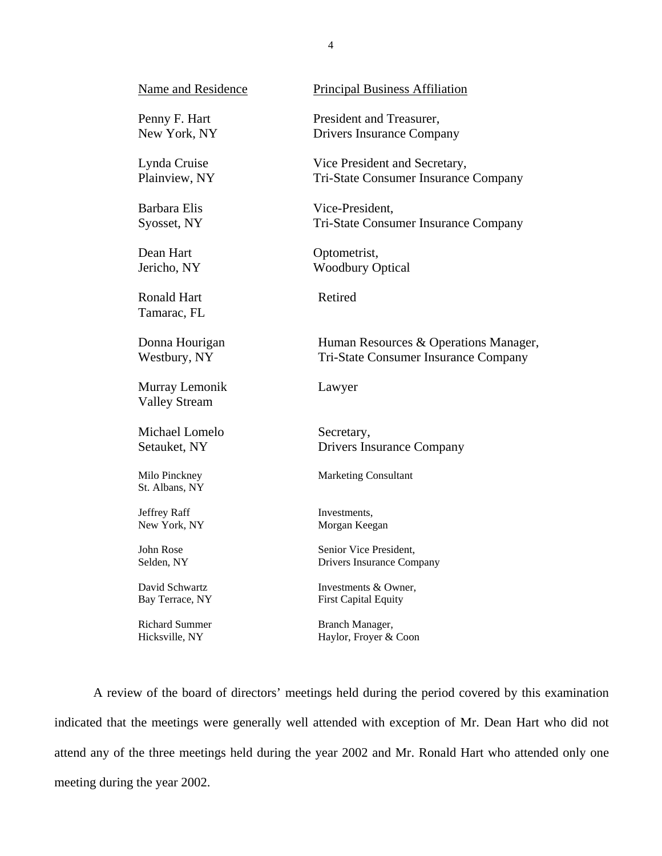| <b>Name and Residence</b>              | <b>Principal Business Affiliation</b> |
|----------------------------------------|---------------------------------------|
| Penny F. Hart                          | President and Treasurer,              |
| New York, NY                           | <b>Drivers Insurance Company</b>      |
| Lynda Cruise                           | Vice President and Secretary,         |
| Plainview, NY                          | Tri-State Consumer Insurance Company  |
| <b>Barbara Elis</b>                    | Vice-President,                       |
| Syosset, NY                            | Tri-State Consumer Insurance Company  |
| Dean Hart                              | Optometrist,                          |
| Jericho, NY                            | <b>Woodbury Optical</b>               |
| <b>Ronald Hart</b><br>Tamarac, FL      | Retired                               |
| Donna Hourigan                         | Human Resources & Operations Manager, |
| Westbury, NY                           | Tri-State Consumer Insurance Company  |
| Murray Lemonik<br><b>Valley Stream</b> | Lawyer                                |
| Michael Lomelo                         | Secretary,                            |
| Setauket, NY                           | <b>Drivers Insurance Company</b>      |
| Milo Pinckney<br>St. Albans, NY        | <b>Marketing Consultant</b>           |
| Jeffrey Raff                           | Investments,                          |
| New York, NY                           | Morgan Keegan                         |
| John Rose                              | Senior Vice President,                |
| Selden, NY                             | Drivers Insurance Company             |
| David Schwartz                         | Investments & Owner,                  |
| Bay Terrace, NY                        | <b>First Capital Equity</b>           |
| <b>Richard Summer</b>                  | Branch Manager,                       |

Hicksville, NY Haylor, Froyer & Coon

A review of the board of directors' meetings held during the period covered by this examination indicated that the meetings were generally well attended with exception of Mr. Dean Hart who did not attend any of the three meetings held during the year 2002 and Mr. Ronald Hart who attended only one meeting during the year 2002.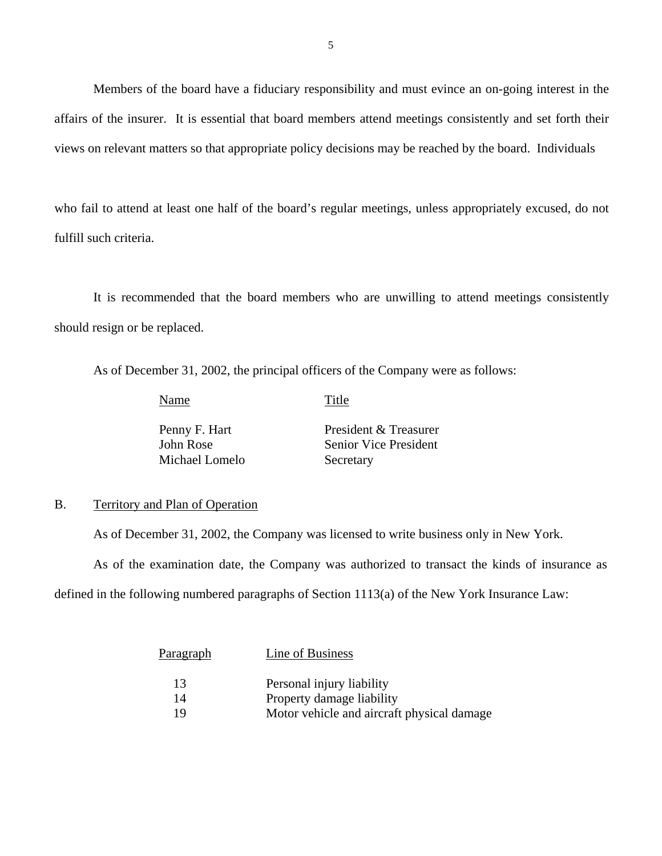<span id="page-6-0"></span>Members of the board have a fiduciary responsibility and must evince an on-going interest in the affairs of the insurer. It is essential that board members attend meetings consistently and set forth their views on relevant matters so that appropriate policy decisions may be reached by the board. Individuals

who fail to attend at least one half of the board's regular meetings, unless appropriately excused, do not fulfill such criteria.

It is recommended that the board members who are unwilling to attend meetings consistently should resign or be replaced.

As of December 31, 2002, the principal officers of the Company were as follows:

Name Title

Michael Lomelo Secretary

Penny F. Hart President & Treasurer John Rose Senior Vice President

#### B. Territory and Plan of Operation

As of December 31, 2002, the Company was licensed to write business only in New York.

As of the examination date, the Company was authorized to transact the kinds of insurance as

defined in the following numbered paragraphs of Section 1113(a) of the New York Insurance Law:

| Paragraph | Line of Business                           |
|-----------|--------------------------------------------|
| 13        | Personal injury liability                  |
| 14        | Property damage liability                  |
| 19        | Motor vehicle and aircraft physical damage |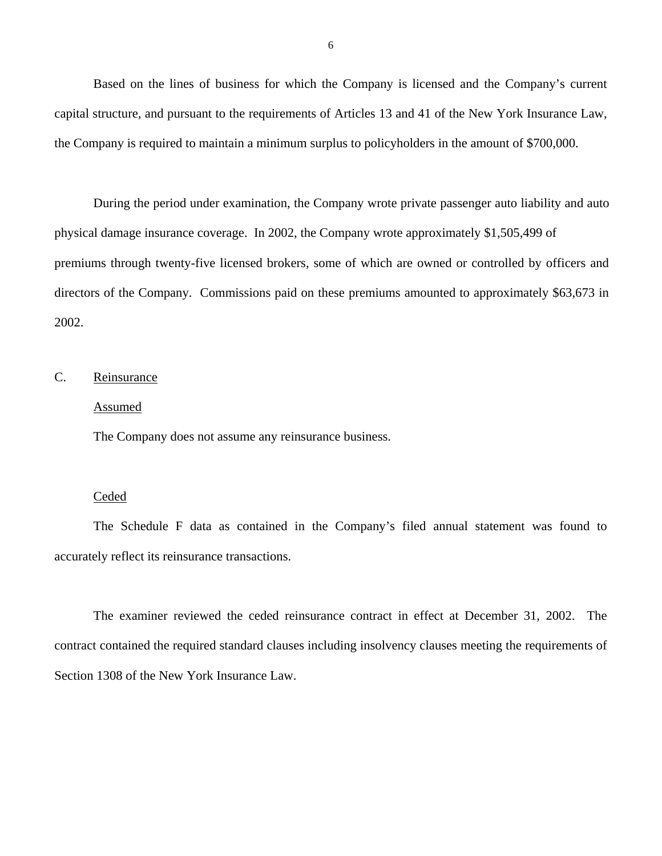<span id="page-7-0"></span>Based on the lines of business for which the Company is licensed and the Company's current capital structure, and pursuant to the requirements of Articles 13 and 41 of the New York Insurance Law, the Company is required to maintain a minimum surplus to policyholders in the amount of \$700,000.

During the period under examination, the Company wrote private passenger auto liability and auto physical damage insurance coverage. In 2002, the Company wrote approximately \$1,505,499 of premiums through twenty-five licensed brokers, some of which are owned or controlled by officers and directors of the Company. Commissions paid on these premiums amounted to approximately \$63,673 in 2002.

## C. Reinsurance

### Assumed

The Company does not assume any reinsurance business.

## **Ceded**

The Schedule F data as contained in the Company's filed annual statement was found to accurately reflect its reinsurance transactions.

The examiner reviewed the ceded reinsurance contract in effect at December 31, 2002. The contract contained the required standard clauses including insolvency clauses meeting the requirements of Section 1308 of the New York Insurance Law.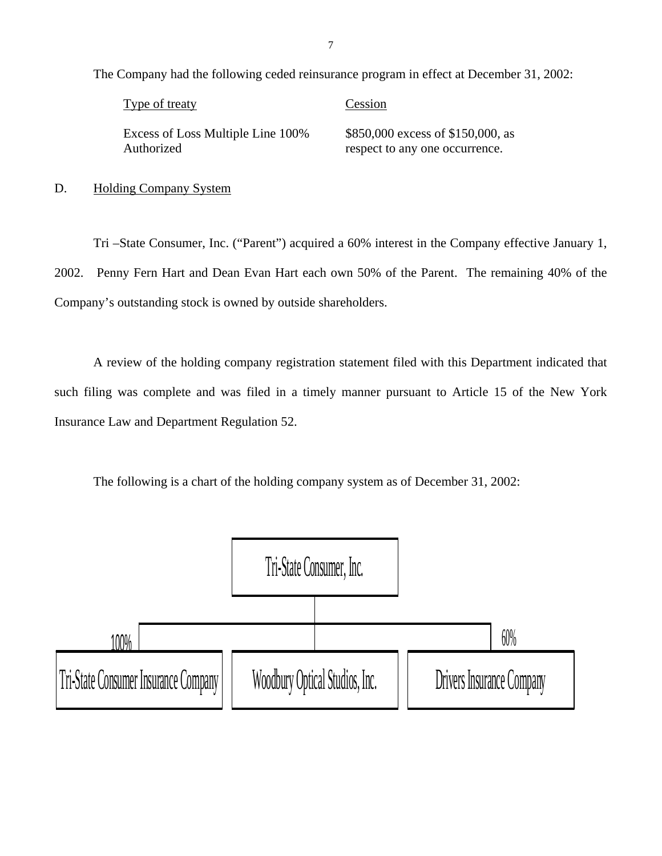| Type of treaty                    | Cession                           |
|-----------------------------------|-----------------------------------|
| Excess of Loss Multiple Line 100% | \$850,000 excess of \$150,000, as |
| Authorized                        | respect to any one occurrence.    |

D. Holding Company System

Tri –State Consumer, Inc. ("Parent") acquired a 60% interest in the Company effective January 1, 2002. Penny Fern Hart and Dean Evan Hart each own 50% of the Parent. The remaining 40% of the Company's outstanding stock is owned by outside shareholders.

A review of the holding company registration statement filed with this Department indicated that such filing was complete and was filed in a timely manner pursuant to Article 15 of the New York Insurance Law and Department Regulation 52.

The following is a chart of the holding company system as of December 31, 2002:

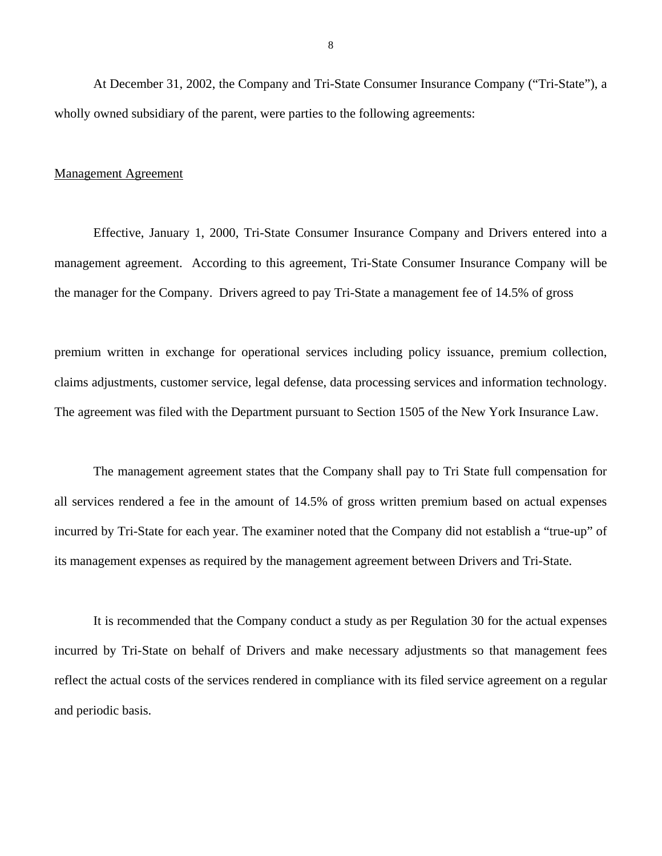At December 31, 2002, the Company and Tri-State Consumer Insurance Company ("Tri-State"), a wholly owned subsidiary of the parent, were parties to the following agreements:

#### Management Agreement

Effective, January 1, 2000, Tri-State Consumer Insurance Company and Drivers entered into a management agreement. According to this agreement, Tri-State Consumer Insurance Company will be the manager for the Company. Drivers agreed to pay Tri-State a management fee of 14.5% of gross

premium written in exchange for operational services including policy issuance, premium collection, claims adjustments, customer service, legal defense, data processing services and information technology. The agreement was filed with the Department pursuant to Section 1505 of the New York Insurance Law.

The management agreement states that the Company shall pay to Tri State full compensation for all services rendered a fee in the amount of 14.5% of gross written premium based on actual expenses incurred by Tri-State for each year. The examiner noted that the Company did not establish a "true-up" of its management expenses as required by the management agreement between Drivers and Tri-State.

It is recommended that the Company conduct a study as per Regulation 30 for the actual expenses incurred by Tri-State on behalf of Drivers and make necessary adjustments so that management fees reflect the actual costs of the services rendered in compliance with its filed service agreement on a regular and periodic basis.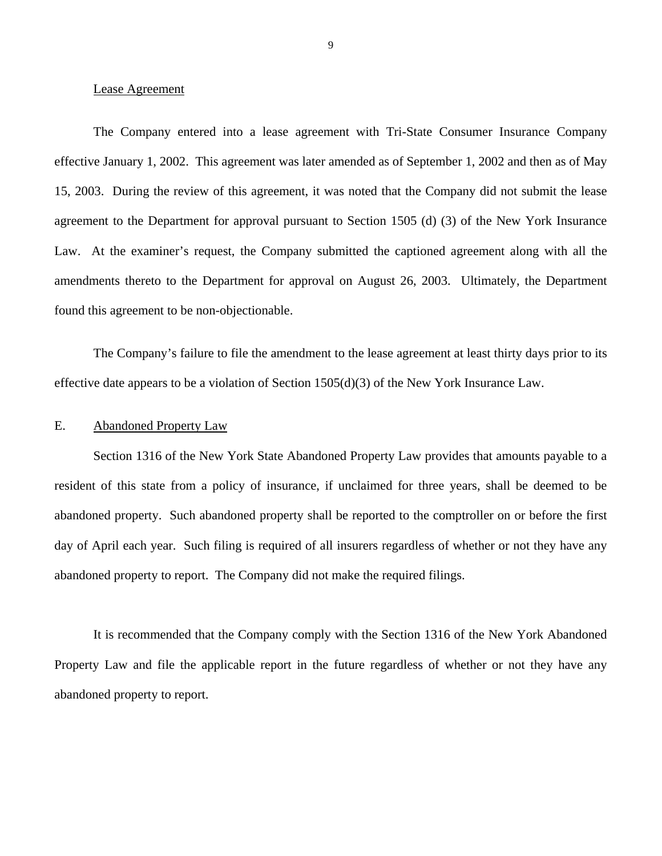#### <span id="page-10-0"></span>Lease Agreement

The Company entered into a lease agreement with Tri-State Consumer Insurance Company effective January 1, 2002. This agreement was later amended as of September 1, 2002 and then as of May 15, 2003. During the review of this agreement, it was noted that the Company did not submit the lease agreement to the Department for approval pursuant to Section 1505 (d) (3) of the New York Insurance Law. At the examiner's request, the Company submitted the captioned agreement along with all the amendments thereto to the Department for approval on August 26, 2003. Ultimately, the Department found this agreement to be non-objectionable.

The Company's failure to file the amendment to the lease agreement at least thirty days prior to its effective date appears to be a violation of Section 1505(d)(3) of the New York Insurance Law.

#### E. Abandoned Property Law

Section 1316 of the New York State Abandoned Property Law provides that amounts payable to a resident of this state from a policy of insurance, if unclaimed for three years, shall be deemed to be abandoned property. Such abandoned property shall be reported to the comptroller on or before the first day of April each year. Such filing is required of all insurers regardless of whether or not they have any abandoned property to report. The Company did not make the required filings.

It is recommended that the Company comply with the Section 1316 of the New York Abandoned Property Law and file the applicable report in the future regardless of whether or not they have any abandoned property to report.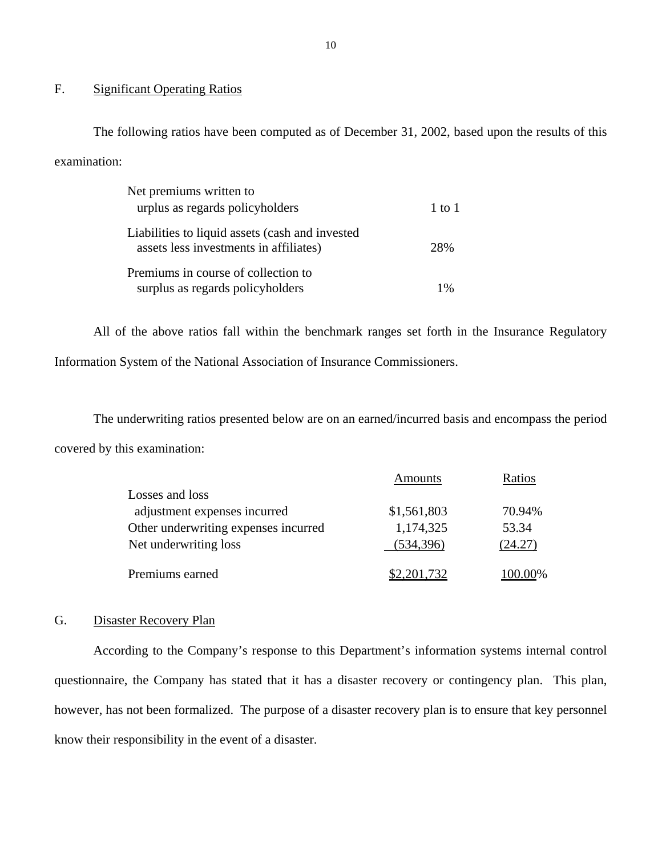## F. Significant Operating Ratios

The following ratios have been computed as of December 31, 2002, based upon the results of this examination:

| Net premiums written to                                                                   |        |
|-------------------------------------------------------------------------------------------|--------|
| urplus as regards policyholders                                                           | 1 to 1 |
| Liabilities to liquid assets (cash and invested<br>assets less investments in affiliates) | 2.8%   |
| Premiums in course of collection to                                                       | 1%     |
| surplus as regards policyholders                                                          |        |

All of the above ratios fall within the benchmark ranges set forth in the Insurance Regulatory Information System of the National Association of Insurance Commissioners.

The underwriting ratios presented below are on an earned/incurred basis and encompass the period covered by this examination:

|                                      | Amounts     | Ratios  |
|--------------------------------------|-------------|---------|
| Losses and loss                      |             |         |
| adjustment expenses incurred         | \$1,561,803 | 70.94%  |
| Other underwriting expenses incurred | 1,174,325   | 53.34   |
| Net underwriting loss                | (534, 396)  | (24.27) |
| Premiums earned                      | \$2,201,732 | 100.00% |

## G. Disaster Recovery Plan

According to the Company's response to this Department's information systems internal control questionnaire, the Company has stated that it has a disaster recovery or contingency plan. This plan, however, has not been formalized. The purpose of a disaster recovery plan is to ensure that key personnel know their responsibility in the event of a disaster.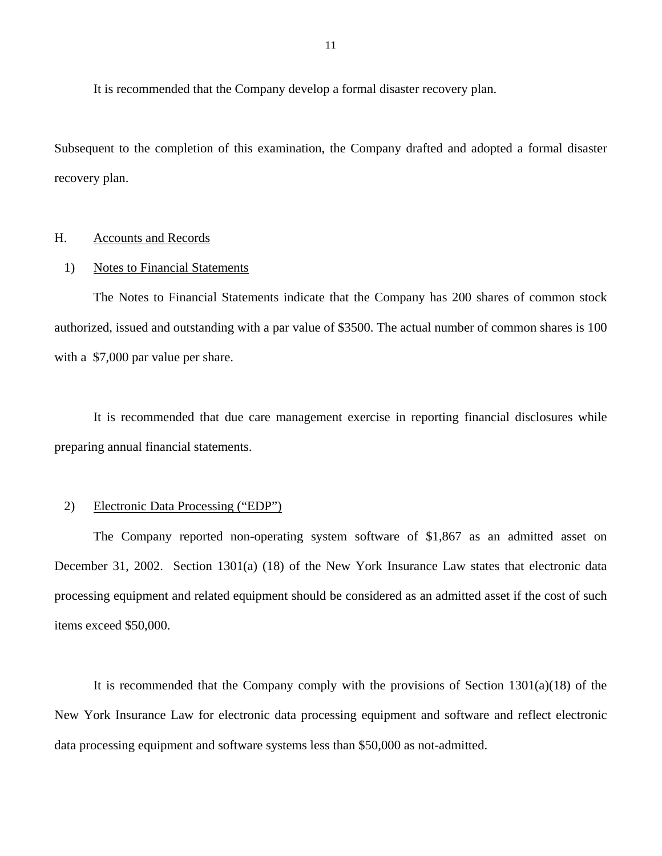<span id="page-12-0"></span>It is recommended that the Company develop a formal disaster recovery plan.

Subsequent to the completion of this examination, the Company drafted and adopted a formal disaster recovery plan.

## H. Accounts and Records

#### 1) Notes to Financial Statements

The Notes to Financial Statements indicate that the Company has 200 shares of common stock authorized, issued and outstanding with a par value of \$3500. The actual number of common shares is 100 with a \$7,000 par value per share.

It is recommended that due care management exercise in reporting financial disclosures while preparing annual financial statements.

## 2) Electronic Data Processing ("EDP")

The Company reported non-operating system software of \$1,867 as an admitted asset on December 31, 2002. Section 1301(a) (18) of the New York Insurance Law states that electronic data processing equipment and related equipment should be considered as an admitted asset if the cost of such items exceed \$50,000.

It is recommended that the Company comply with the provisions of Section  $1301(a)(18)$  of the New York Insurance Law for electronic data processing equipment and software and reflect electronic data processing equipment and software systems less than \$50,000 as not-admitted.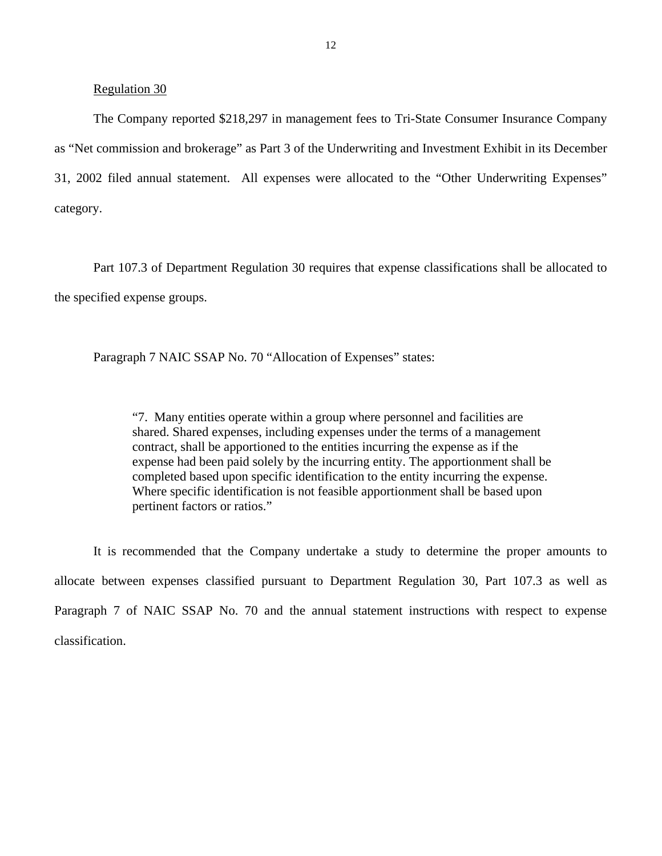## Regulation 30

The Company reported \$218,297 in management fees to Tri-State Consumer Insurance Company as "Net commission and brokerage" as Part 3 of the Underwriting and Investment Exhibit in its December 31, 2002 filed annual statement. All expenses were allocated to the "Other Underwriting Expenses" category.

Part 107.3 of Department Regulation 30 requires that expense classifications shall be allocated to the specified expense groups.

Paragraph 7 NAIC SSAP No. 70 "Allocation of Expenses" states:

"7. Many entities operate within a group where personnel and facilities are shared. Shared expenses, including expenses under the terms of a management contract, shall be apportioned to the entities incurring the expense as if the expense had been paid solely by the incurring entity. The apportionment shall be completed based upon specific identification to the entity incurring the expense. Where specific identification is not feasible apportionment shall be based upon pertinent factors or ratios."

It is recommended that the Company undertake a study to determine the proper amounts to allocate between expenses classified pursuant to Department Regulation 30, Part 107.3 as well as Paragraph 7 of NAIC SSAP No. 70 and the annual statement instructions with respect to expense classification.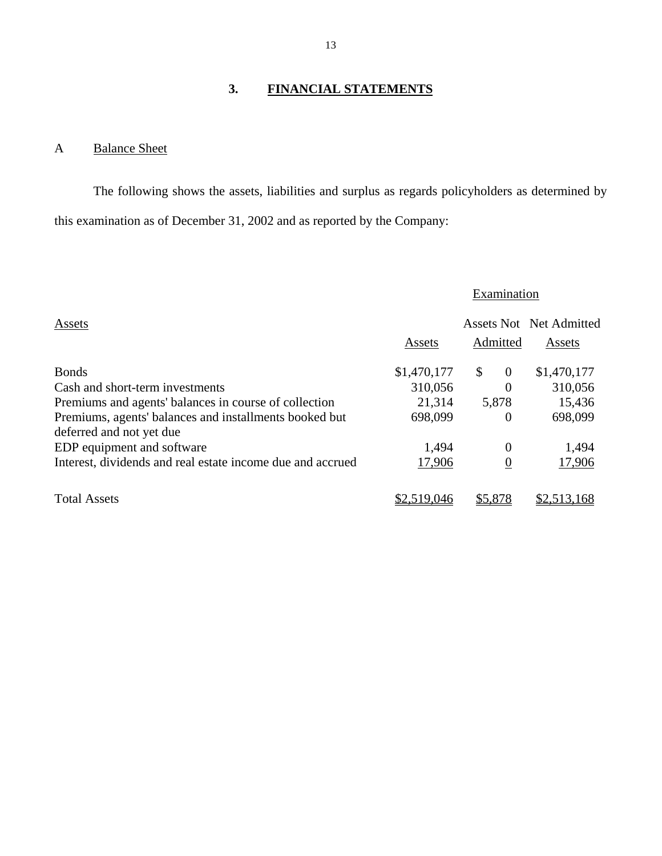## **3. FINANCIAL STATEMENTS**

## A Balance Sheet

The following shows the assets, liabilities and surplus as regards policyholders as determined by this examination as of December 31, 2002 and as reported by the Company:

## **Examination**

| Assets                                                     |             |                                | Assets Not Net Admitted |
|------------------------------------------------------------|-------------|--------------------------------|-------------------------|
|                                                            | Assets      | Admitted                       | Assets                  |
| <b>Bonds</b>                                               | \$1,470,177 | $\mathbb{S}$<br>$\overline{0}$ | \$1,470,177             |
| Cash and short-term investments                            | 310,056     | $\theta$                       | 310,056                 |
| Premiums and agents' balances in course of collection      | 21,314      | 5,878                          | 15,436                  |
| Premiums, agents' balances and installments booked but     | 698,099     | $\Omega$                       | 698,099                 |
| deferred and not yet due                                   |             |                                |                         |
| EDP equipment and software                                 | 1,494       | $\Omega$                       | 1,494                   |
| Interest, dividends and real estate income due and accrued | 17,906      | $\overline{0}$                 | 17,906                  |
| <b>Total Assets</b>                                        | \$2,519,046 | \$5,878                        | \$2,513,168             |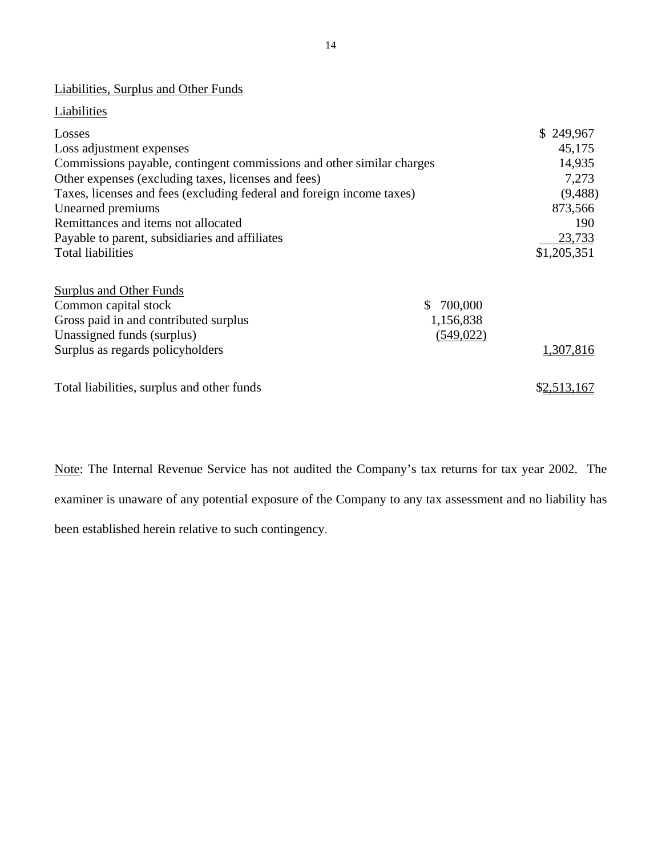## Liabilities, Surplus and Other Funds

## **Liabilities**

| Losses                                                                |            | \$249,967   |
|-----------------------------------------------------------------------|------------|-------------|
| Loss adjustment expenses                                              |            | 45,175      |
| Commissions payable, contingent commissions and other similar charges | 14,935     |             |
| Other expenses (excluding taxes, licenses and fees)                   |            | 7,273       |
| Taxes, licenses and fees (excluding federal and foreign income taxes) |            | (9,488)     |
| Unearned premiums                                                     |            | 873,566     |
| Remittances and items not allocated                                   |            | 190         |
| Payable to parent, subsidiaries and affiliates                        |            | 23,733      |
| <b>Total liabilities</b>                                              |            | \$1,205,351 |
| <b>Surplus and Other Funds</b>                                        |            |             |
| Common capital stock                                                  | 700,000    |             |
| Gross paid in and contributed surplus                                 | 1,156,838  |             |
| Unassigned funds (surplus)                                            | (549, 022) |             |
| Surplus as regards policyholders                                      |            | 1,307,816   |
| Total liabilities, surplus and other funds                            |            | \$2,513,167 |

Note: The Internal Revenue Service has not audited the Company's tax returns for tax year 2002. The examiner is unaware of any potential exposure of the Company to any tax assessment and no liability has been established herein relative to such contingency.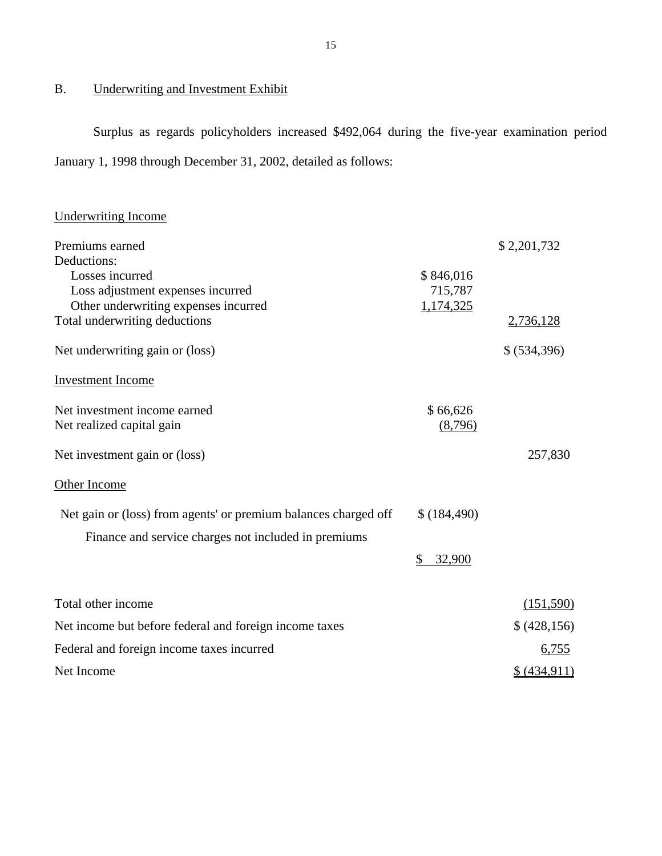## <span id="page-16-0"></span>B. Underwriting and Investment Exhibit

Surplus as regards policyholders increased \$492,064 during the five-year examination period January 1, 1998 through December 31, 2002, detailed as follows:

## Underwriting Income

| Premiums earned                                                 |              | \$2,201,732  |
|-----------------------------------------------------------------|--------------|--------------|
| Deductions:                                                     |              |              |
| Losses incurred                                                 | \$846,016    |              |
| Loss adjustment expenses incurred                               | 715,787      |              |
| Other underwriting expenses incurred                            | 1,174,325    |              |
| Total underwriting deductions                                   |              | 2,736,128    |
| Net underwriting gain or (loss)                                 |              | \$ (534,396) |
| <b>Investment</b> Income                                        |              |              |
| Net investment income earned                                    | \$66,626     |              |
| Net realized capital gain                                       | (8,796)      |              |
| Net investment gain or (loss)                                   |              | 257,830      |
| Other Income                                                    |              |              |
| Net gain or (loss) from agents' or premium balances charged off | \$(184,490)  |              |
| Finance and service charges not included in premiums            |              |              |
|                                                                 | \$<br>32,900 |              |
| Total other income                                              |              | (151,590)    |
| Net income but before federal and foreign income taxes          |              | \$ (428,156) |
| Federal and foreign income taxes incurred                       |              | 6,755        |
| Net Income                                                      |              | \$ (434,911) |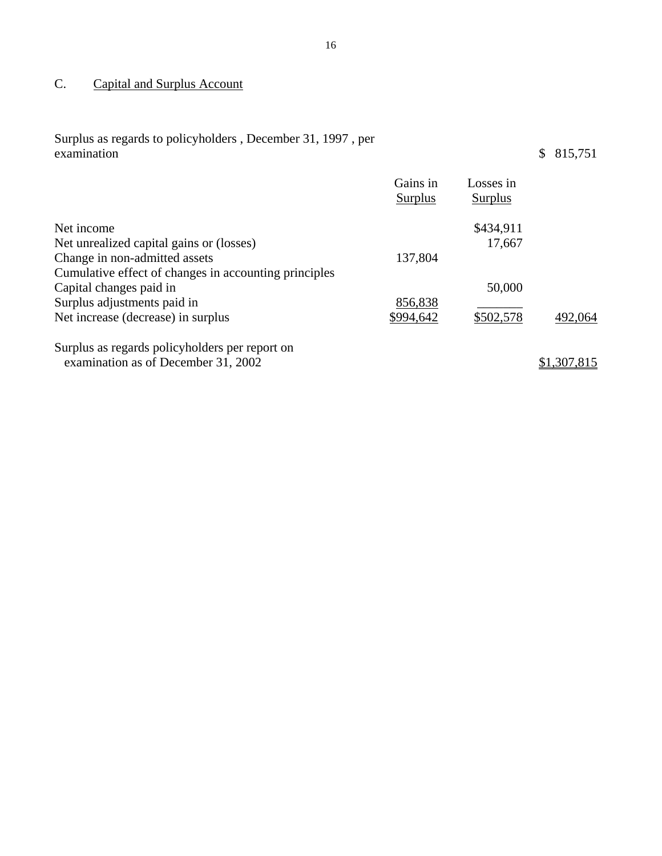## <span id="page-17-0"></span>C. Capital and Surplus Account

| Surplus as regards to policyholders, December 31, 1997, per<br>examination |                            |                             | 815,751<br>\$ |
|----------------------------------------------------------------------------|----------------------------|-----------------------------|---------------|
|                                                                            | Gains in<br><b>Surplus</b> | Losses in<br><b>Surplus</b> |               |
| Net income                                                                 |                            | \$434,911                   |               |
| Net unrealized capital gains or (losses)                                   |                            | 17,667                      |               |
| Change in non-admitted assets                                              | 137,804                    |                             |               |
| Cumulative effect of changes in accounting principles                      |                            |                             |               |
| Capital changes paid in                                                    |                            | 50,000                      |               |
| Surplus adjustments paid in                                                | 856,838                    |                             |               |
| Net increase (decrease) in surplus                                         | \$994,642                  | \$502,578                   | 492,064       |

Surplus as regards policyholders per report on examination as of December 31, 2002  $\frac{$1,307,815}{2}$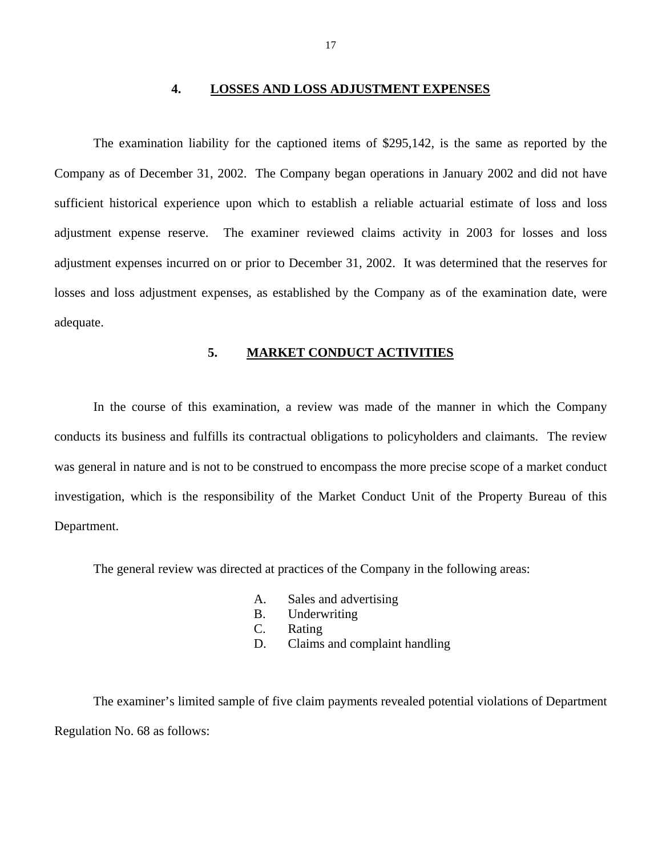#### **4. LOSSES AND LOSS ADJUSTMENT EXPENSES**

<span id="page-18-0"></span>The examination liability for the captioned items of \$295,142, is the same as reported by the Company as of December 31, 2002. The Company began operations in January 2002 and did not have sufficient historical experience upon which to establish a reliable actuarial estimate of loss and loss adjustment expense reserve. The examiner reviewed claims activity in 2003 for losses and loss adjustment expenses incurred on or prior to December 31, 2002. It was determined that the reserves for losses and loss adjustment expenses, as established by the Company as of the examination date, were adequate.

## **5. MARKET CONDUCT ACTIVITIES**

In the course of this examination, a review was made of the manner in which the Company conducts its business and fulfills its contractual obligations to policyholders and claimants. The review was general in nature and is not to be construed to encompass the more precise scope of a market conduct investigation, which is the responsibility of the Market Conduct Unit of the Property Bureau of this Department.

The general review was directed at practices of the Company in the following areas:

- A. Sales and advertising
- B. Underwriting
- C. Rating
- D. Claims and complaint handling

The examiner's limited sample of five claim payments revealed potential violations of Department Regulation No. 68 as follows: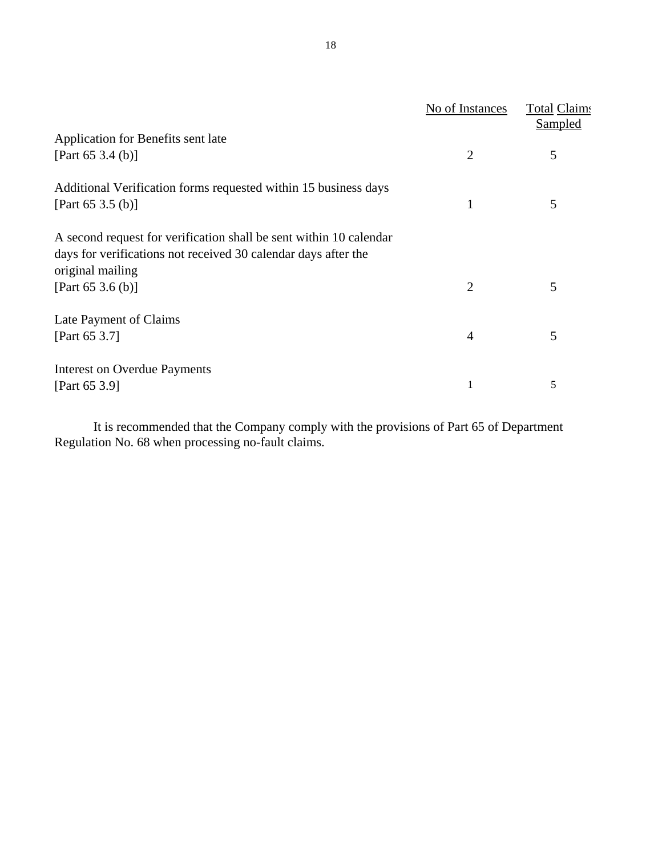|                                                                    | No of Instances | Total Claims<br><b>Sampled</b> |
|--------------------------------------------------------------------|-----------------|--------------------------------|
| Application for Benefits sent late                                 |                 |                                |
| [Part 65 3.4 (b)]                                                  | 2               | 5                              |
| Additional Verification forms requested within 15 business days    |                 |                                |
| [Part 65 3.5 (b)]                                                  | 1               | 5                              |
| A second request for verification shall be sent within 10 calendar |                 |                                |
| days for verifications not received 30 calendar days after the     |                 |                                |
| original mailing                                                   |                 |                                |
| [Part 65 3.6 (b)]                                                  | 2               | 5                              |
| Late Payment of Claims                                             |                 |                                |
| [Part 65 3.7]                                                      | $\overline{4}$  | 5                              |
| <b>Interest on Overdue Payments</b>                                |                 |                                |
| [Part 65 3.9]                                                      | 1               | 5                              |

It is recommended that the Company comply with the provisions of Part 65 of Department Regulation No. 68 when processing no-fault claims.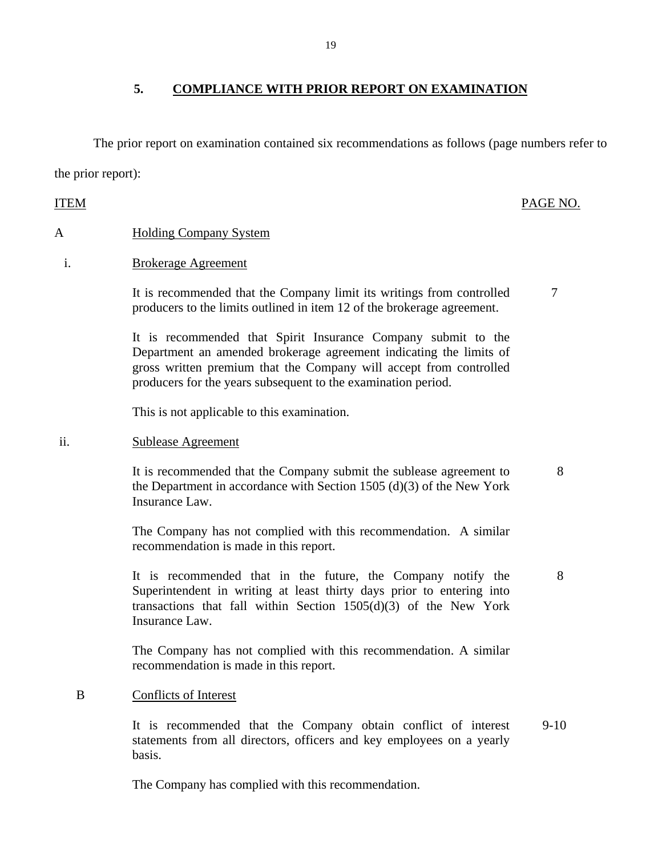The prior report on examination contained six recommendations as follows (page numbers refer to the prior report):

## A Holding Company System

## i. Brokerage Agreement

It is recommended that the Company limit its writings from controlled producers to the limits outlined in item 12 of the brokerage agreement.

It is recommended that Spirit Insurance Company submit to the Department an amended brokerage agreement indicating the limits of gross written premium that the Company will accept from controlled producers for the years subsequent to the examination period.

This is not applicable to this examination.

## ii. Sublease Agreement

It is recommended that the Company submit the sublease agreement to the Department in accordance with Section 1505 (d)(3) of the New York Insurance Law.

The Company has not complied with this recommendation. A similar recommendation is made in this report.

It is recommended that in the future, the Company notify the Superintendent in writing at least thirty days prior to entering into transactions that fall within Section  $1505(d)(3)$  of the New York Insurance Law.

The Company has not complied with this recommendation. A similar recommendation is made in this report.

## B Conflicts of Interest

It is recommended that the Company obtain conflict of interest statements from all directors, officers and key employees on a yearly basis. 9-10

The Company has complied with this recommendation.

**5. COMPLIANCE WITH PRIOR REPORT ON EXAMINATION** 

## ITEM PAGE NO.

7

8

8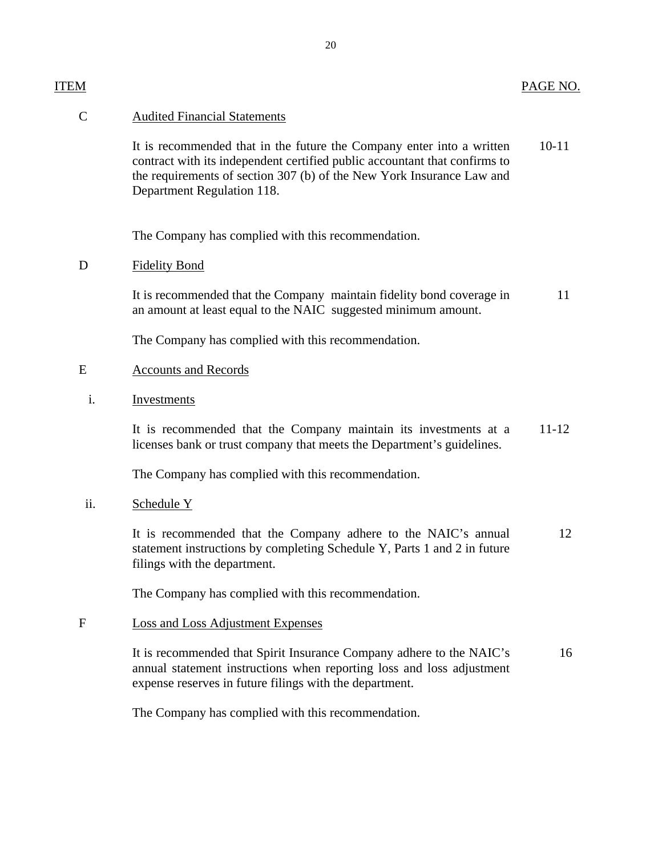| ITEM          |                                                                                                                                                                                                                                                            | PAGE NO.  |
|---------------|------------------------------------------------------------------------------------------------------------------------------------------------------------------------------------------------------------------------------------------------------------|-----------|
| $\mathcal{C}$ | <b>Audited Financial Statements</b>                                                                                                                                                                                                                        |           |
|               | It is recommended that in the future the Company enter into a written<br>contract with its independent certified public accountant that confirms to<br>the requirements of section 307 (b) of the New York Insurance Law and<br>Department Regulation 118. | $10 - 11$ |
|               | The Company has complied with this recommendation.                                                                                                                                                                                                         |           |
| D             | <b>Fidelity Bond</b>                                                                                                                                                                                                                                       |           |
|               | It is recommended that the Company maintain fidelity bond coverage in<br>an amount at least equal to the NAIC suggested minimum amount.                                                                                                                    | 11        |
|               | The Company has complied with this recommendation.                                                                                                                                                                                                         |           |
| E             | <b>Accounts and Records</b>                                                                                                                                                                                                                                |           |
| i.            | Investments                                                                                                                                                                                                                                                |           |
|               | It is recommended that the Company maintain its investments at a<br>licenses bank or trust company that meets the Department's guidelines.                                                                                                                 | $11 - 12$ |
|               | The Company has complied with this recommendation.                                                                                                                                                                                                         |           |
| ii.           | Schedule Y                                                                                                                                                                                                                                                 |           |
|               | It is recommended that the Company adhere to the NAIC's annual<br>statement instructions by completing Schedule Y, Parts 1 and 2 in future<br>filings with the department.                                                                                 | 12        |
|               | The Company has complied with this recommendation.                                                                                                                                                                                                         |           |
| $\mathbf{F}$  | Loss and Loss Adjustment Expenses                                                                                                                                                                                                                          |           |
|               | It is recommended that Spirit Insurance Company adhere to the NAIC's<br>annual statement instructions when reporting loss and loss adjustment<br>expense reserves in future filings with the department.                                                   | 16        |
|               | The Company has complied with this recommendation.                                                                                                                                                                                                         |           |
|               |                                                                                                                                                                                                                                                            |           |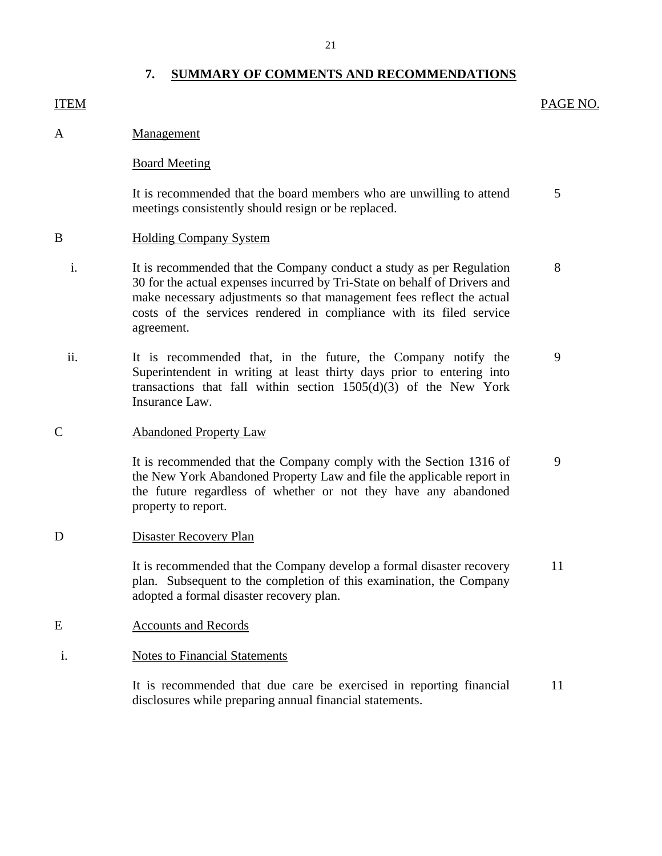## **7. SUMMARY OF COMMENTS AND RECOMMENDATIONS**

## <span id="page-22-0"></span>ITEM PAGE NO.

5

A Management

## Board Meeting

It is recommended that the board members who are unwilling to attend meetings consistently should resign or be replaced.

## B Holding Company System

- i. It is recommended that the Company conduct a study as per Regulation 8 30 for the actual expenses incurred by Tri-State on behalf of Drivers and make necessary adjustments so that management fees reflect the actual costs of the services rendered in compliance with its filed service agreement.
- ii. It is recommended that, in the future, the Company notify the 9 Superintendent in writing at least thirty days prior to entering into transactions that fall within section 1505(d)(3) of the New York Insurance Law.

#### C Abandoned Property Law

It is recommended that the Company comply with the Section 1316 of 9 the New York Abandoned Property Law and file the applicable report in the future regardless of whether or not they have any abandoned property to report.

#### D Disaster Recovery Plan

It is recommended that the Company develop a formal disaster recovery 11 plan. Subsequent to the completion of this examination, the Company adopted a formal disaster recovery plan.

- E Accounts and Records
- i. Notes to Financial Statements

It is recommended that due care be exercised in reporting financial disclosures while preparing annual financial statements. 11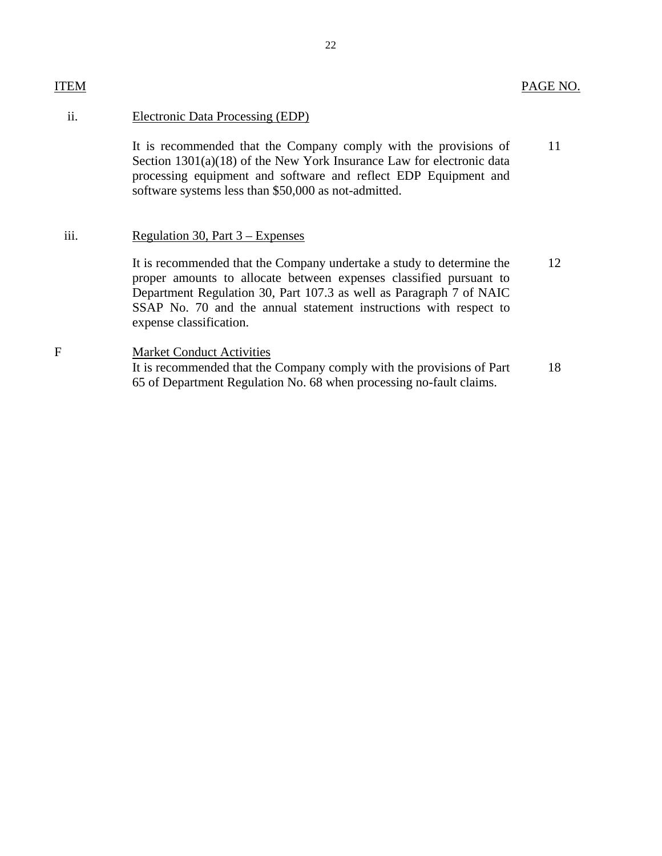## ii. Electronic Data Processing (EDP)

It is recommended that the Company comply with the provisions of 11 Section 1301(a)(18) of the New York Insurance Law for electronic data processing equipment and software and reflect EDP Equipment and software systems less than \$50,000 as not-admitted.

## iii. Regulation 30, Part 3 – Expenses

It is recommended that the Company undertake a study to determine the 12 proper amounts to allocate between expenses classified pursuant to Department Regulation 30, Part 107.3 as well as Paragraph 7 of NAIC SSAP No. 70 and the annual statement instructions with respect to expense classification.

## F Market Conduct Activities It is recommended that the Company comply with the provisions of Part 18 65 of Department Regulation No. 68 when processing no-fault claims.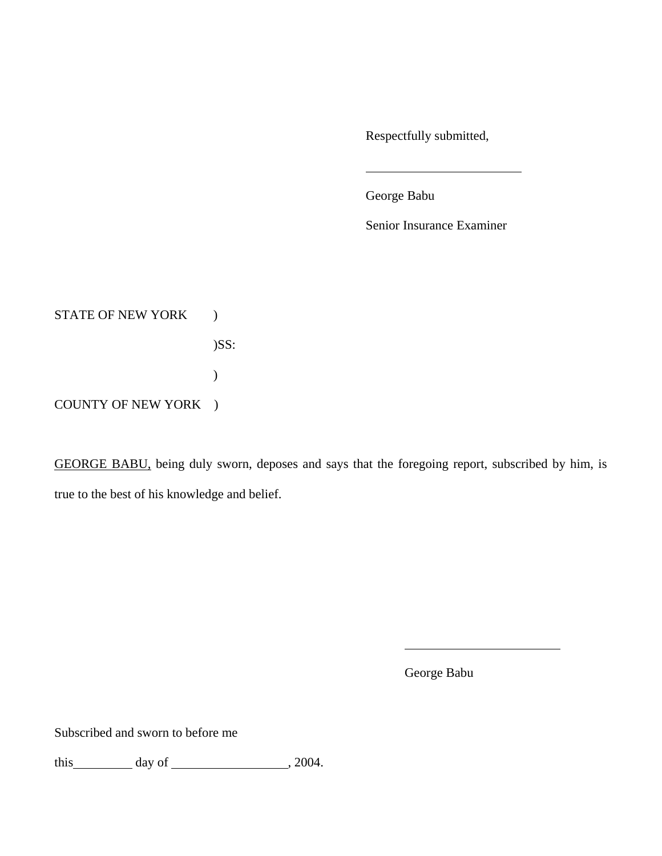Respectfully submitted,

George Babu

Senior Insurance Examiner

STATE OF NEW YORK ) )SS:  $\mathcal{L}$ COUNTY OF NEW YORK )

GEORGE BABU, being duly sworn, deposes and says that the foregoing report, subscribed by him, is true to the best of his knowledge and belief.

George Babu

Subscribed and sworn to before me

this  $\qquad \qquad \text{day of } \qquad \qquad .2004.$